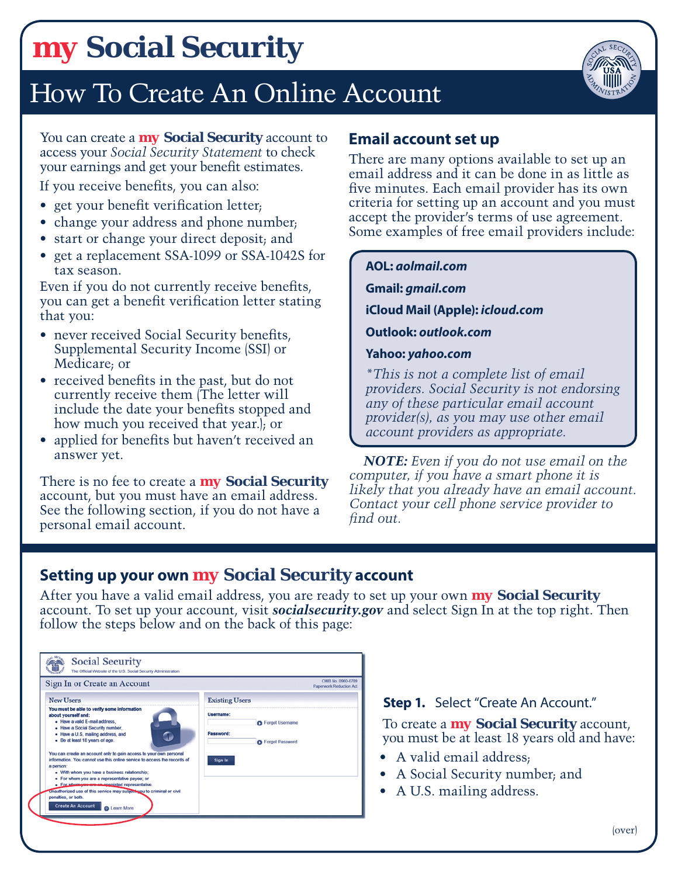# *my* **[Social Security](http://ssa.gov/myaccount/)**

# How To Create An Online Account



You can create a *my* **[Social Security](http://ssa.gov/myaccount/)** account to access your *[Social Security Statement](http://ssa.gov/myaccount/)* to check your earnings and get your benefit estimates.

If you receive benefits, you can also:

- get your benefit verification letter;
- change your address and phone number.
- start or change your direct deposit; and
- get a replacement SSA-1099 or SSA-1042S for tax season.

Even if you do not currently receive benefits, you can get a benefit verification letter stating that you:

- never received Social Security benefits, Supplemental Security Income (SSI) or Medicare; or
- received benefits in the past, but do not currently receive them (The letter will include the date your benefits stopped and how much you received that year.); or
- applied for benefits but haven't received an answer yet.

There is no fee to create a *my* **[Social Security](http://ssa.gov/myaccount/)** account, but you must have an email address. See the following section, if you do not have a personal email account.

### **Email account set up**

There are many options available to set up an email address and it can be done in as little as five minutes. Each email provider has its own criteria for setting up an account and you must accept the provider's terms of use agreement. Some examples of free email providers include:

#### **AOL:** *[aolmail.com](http://www.aolmail.com)*

**Gmail:** *[gmail.com](http://www.gmail.com)*

**[iCloud Mail \(Apple\):](http://www.icloud.com)** *icloud.com*

**Outlook:** *[outlook.com](http://www.outlook.com)*

#### **Yahoo:** *[yahoo.com](http://www.yahoo.com)*

*\*This is not a complete list of email providers. Social Security is not endorsing any of these particular email account provider(s), as you may use other email account providers as appropriate.*

*NOTE: Even if you do not use email on the computer, if you have a smart phone it is likely that you already have an email account. Contact your cell phone service provider to find out.*

### **Setting up your own** *my* **[Social Security](http://ssa.gov/myaccount/) account**

After you have a valid email address, you are ready to set up your own *my* **[Social Security](http://ssa.gov/myaccount/)** account. To set up your account, visit *[socialsecurity.gov](www.socialsecurity.gov)* and select Sign In at the top right. Then follow the steps below and on the back of this page:

| Sign In or Create an Account                                                                                                                                                                                                                                                                                                                                                                                                                                                                                                                                                                                                                                                          | OMB No. 0960-0789<br><b>Paperwork Reduction Act</b>                                       |
|---------------------------------------------------------------------------------------------------------------------------------------------------------------------------------------------------------------------------------------------------------------------------------------------------------------------------------------------------------------------------------------------------------------------------------------------------------------------------------------------------------------------------------------------------------------------------------------------------------------------------------------------------------------------------------------|-------------------------------------------------------------------------------------------|
| <b>New Users</b>                                                                                                                                                                                                                                                                                                                                                                                                                                                                                                                                                                                                                                                                      | <b>Existing Users</b>                                                                     |
| You must be able to verify some information<br>about yourself and:<br>· Have a valid E-mail address.<br>. Have a Social Security number,<br>• Have a U.S. mailing address, and<br>Œ<br>- Be at least 18 years of age.<br>You can create an account only to gain access to your own personal<br>information. You cannot use this online service to access the records of<br>a person:<br>• With whom you have a business relationship;<br>· For whom you are a representative payee; or<br>. For whom you are an appointed representative.<br>Unauthorized use of this service may subject you to criminal or civil<br>penalties, or both.<br><b>Create An Account</b><br>a Learn More | Username:<br><b>O</b> Forgot Username<br>Password:<br><b>C</b> Forgot Password<br>Sign In |

**Step 1.** Select "Create An Account."

To create a *my* **[Social Security](http://ssa.gov/myaccount/)** account, you must be at least 18 years old and have:

- A valid email address;
- A Social Security number; and
- A U.S. mailing address.